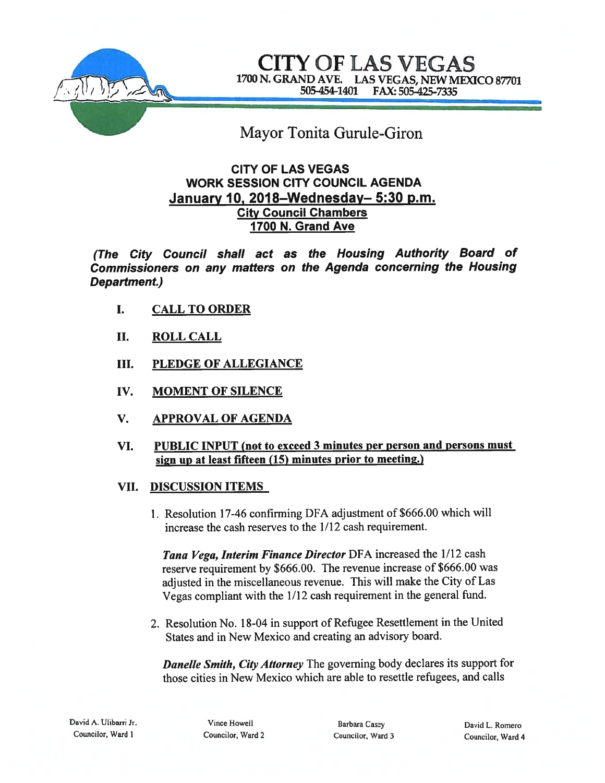

CITY OF LAS VEGAS 1700 N. GRAND AVE. LAS VEGAS, NEW MEXICO 87701 5054544401 FAX: 505-425-7335

# Mayor Tonita Gurule-Giron

# CITY OF LAS VEGAS WORK SESSION CITY COUNCIL AGENDA January 10, 2018–Wednesday– 5:30 p.m. City Council Chambers 1700 N. Grand Ave

(The City Council shall act as the Housing Authority Board of Commissioners on any matters on the Agenda concerning the Housing Department.)

- I. CALL TO ORDER
- II. ROLL CALL
- III. PLEDGE OF ALLEGIANCE
- IV. MOMENT OF SILENCE
- V. APPROVAL OF AGENDA
- VI. PUBLIC INPUT (not to exceed 3 minutes per person and persons must sign up at least fifteen (15) minutes prior to meeting.)

# VII. DISCUSSION ITEMS

1. Resolution 17-46 confirming DFA adjustment of \$666.00 which will increase the cash reserves to the 1/12 cash requirement.

Tana Vega, Interim Finance Director DFA increased the 1/12 cash reserve requirement by \$666.00. The revenue increase of \$666.00 was adjusted in the miscellaneous revenue. This will make the City of Las Vegas compliant with the 1/12 cash requirement in the genera<sup>l</sup> fund.

2. Resolution No. 18-04 in suppor<sup>t</sup> of Refugee Resettlement in the United States and in New Mexico and creating an advisory board.

**Danelle Smith, City Attorney** The governing body declares its support for those cities in New Mexico which are able to resettle refugees, and calls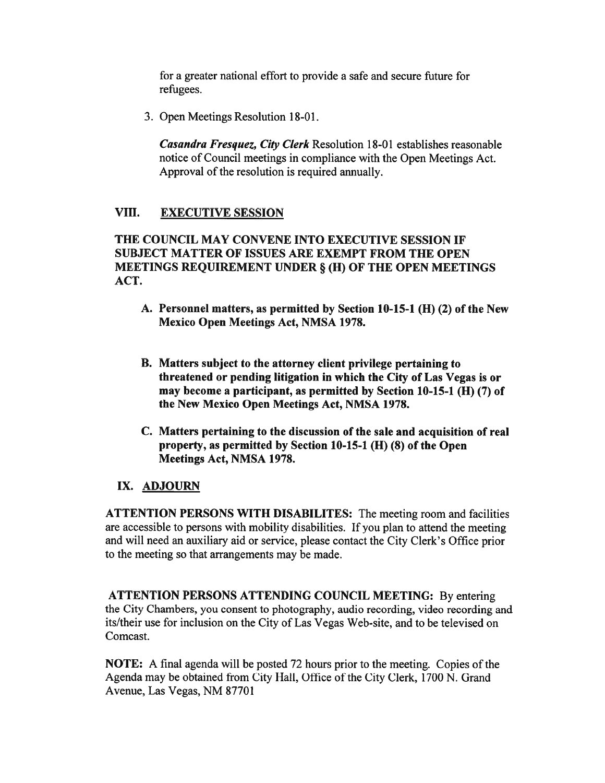for <sup>a</sup> greater national effort to provide <sup>a</sup> safe and secure future for refugees.

3. Open Meetings Resolution 18-01.

Casandra Fresquez, City Clerk Resolution 18-01 establishes reasonable notice of Council meetings in compliance with the Open Meetings Act. Approval of the resolution is required annually.

# VIII. EXECUTIVE SESSION

# THE COUNCIL MAY CONVENE INTO EXECUTIVE SESSION IF SUBJECT MATTER OF ISSUES ARE EXEMPT FROM THE OPEN MEETINGS REQUIREMENT UNDER § (H) OF THE OPEN MEETINGS ACT.

- A. Personnel matters, as permitted by Section 10-15-1 (H) (2) of the New Mexico Open Meetings Act, NMSA 1978.
- B. Matters subject to the attorney client privilege pertaining to threatened or pending litigation in which the City of Las Vegas is or may become <sup>a</sup> participant, as permitted by Section 10-15-1 (H) (7) of the New Mexico Open Meetings Act, NMSA 1978.
- C. Matters pertaining to the discussion of the sale and acquisition of real property, as permitted by Section 10-15-1 (H) (8) of the Open Meetings Act, NMSA 1978.

### IX. ADJOURN

ATTENTION PERSONS WITH DISABILITES: The meeting room and facilities are accessible to persons with mobility disabilities. If you plan to attend the meeting and will need an auxiliary aid or service, please contact the City Clerk's Office prior to the meeting so that arrangements may be made.

ATTENTION PERSONS ATTENDING COUNCIL MEETING: By entering the City Chambers, you consent to photography, audio recording, video recording and its/their use for inclusion on the City of Las Vegas Web-site, and to be televised on Comcast.

NOTE: A final agenda will be posted 72 hours prior to the meeting. Copies of the Agenda may be obtained from City Hall, Office of the City Clerk, 1700 N. Grand Avenue, Las Vegas, NM 87701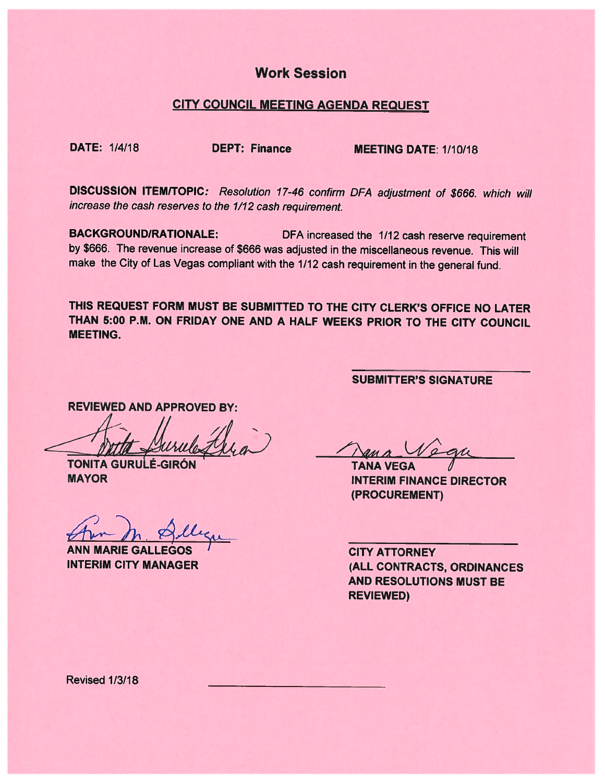# Work Session

### CITY COUNCIL MEETING AGENDA REQUEST

DATE: 1/4/18 DEPT: Finance MEETING DATE: 1/10/18

DISCUSSION ITEM/TOPIC: Resolution 17-46 confirm DFA adjustment of \$666. which will increase the cash reserves to the 1/12 cash requirement.

BACKGROUNDIRATIONALE: DFA increased the 1/12 cash reserve requirement by \$666. The revenue increase of \$666 was adjusted in the miscellaneous revenue. This will make the City of Las Vegas compliant with the 1/12 cash requirement in the general fund.

THIS REQUEST FORM MUST BE SUBMITTED TO THE CITY CLERK'S OFFICE NO LATER THAN 5:00 P.M. ON FRIDAY ONE AND A HALF WEEKS PRIOR TO THE CITY COUNCIL MEETING.

REVIEWED AND APPROVED BY:

**TONITA GURULÉ-GIRÓN MAYOR** 

ANN MARIE GALLEGOS INTERIM CITY MANAGER

SUBMITTER'S SIGNATURE

 $\sqrt{2}4$ 

**TANA VEGA** INTERIM FINANCE DIRECTOR (PROCUREMENT)

CITY ATTORNEY (ALL CONTRACTS, ORDINANCES AND RESOLUTIONS MUST BE REVIEWED)

Revised 1/3/18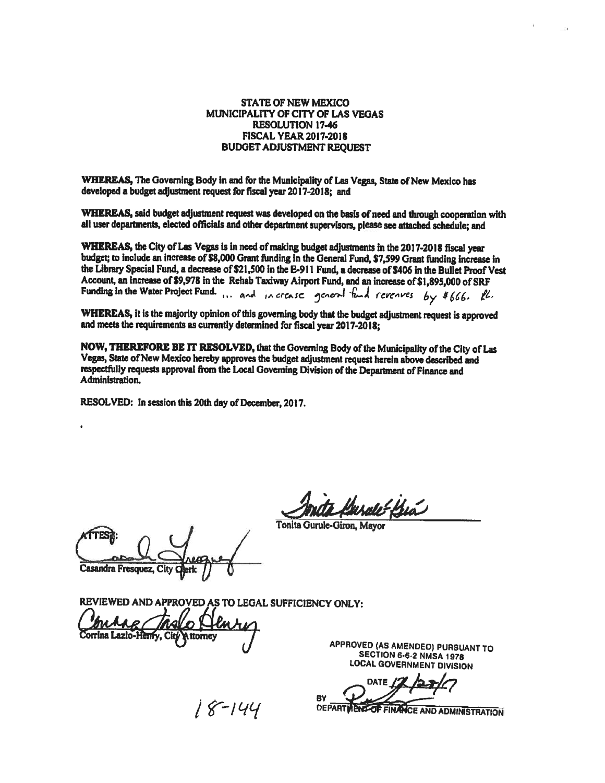#### STATE OF NEW MEXICO MUNICIPALITY OF CITY OF LAS VEGAS RESOLUTION 17-46 FISCAL YEAR 2017-2018 BUDGET ADJUSTMENT REQUEST

WHEREAS, The Governing Body in and for the Municipality of Las Vegas, State of New Mexico has developed <sup>a</sup> budget adjustment reques<sup>t</sup> for fiscal year 2017-2018; and

WHEREAS, said budget adjustment request was developed on the basis of need and through cooperation with<br>all user departments, elected officials and other department supervisors, please see attached schedule; and

WHEREAS, the City of Las Vegas is in need of making budget adjustments in the 2017-2018 fiscal year<br>budget; to include an increase of \$8,000 Grant funding in the General Fund, \$7,599 Grant funding increase in the Librazy Special Fund, <sup>a</sup> decrease of \$21,500 in the E-91 1 Fund, <sup>a</sup> decrease of \$406 in the Bullet Proof Vest Account, an increase of \$9,978 in the Rehab Taxiway Airport Fund, and an increase of \$1,895,000 of SRF Funding in the Water Project Fund. ... and in crease general fund revenues by \$666. Il.

WHEREAS, it is the majority opinion of this governing body that the budget adjustment request is approved<br>and meets the requirements as currently determined for fiscal year 2017-2018;

NOW, THEREFORE BE IT RESOLVED, that the Governing Body of the Municipality of the City of Las<br>Vegas, State of New Mexico hereby approves the budget adjustment request herein above described and respectfully requests approval from the Local Governing Division of the Department of Finance and<br>Administration.

RESOLVED: In session this 20th day of December, 2017.

Male Bia

Tonita Gurule-Giron, Mayor

Casandra Fresquez, City

REVIEWED AND APPROVED AS TO LEGAL SUFFICIENCY ONLY:

APPROVED (AS AMENDED) PURSUANT TO SECTION 6-62 NMSA <sup>1978</sup> LOCAL GOVERNMENT DIVISION

DATE 1 8 BY THE FINANCE AND ADMINISTRATION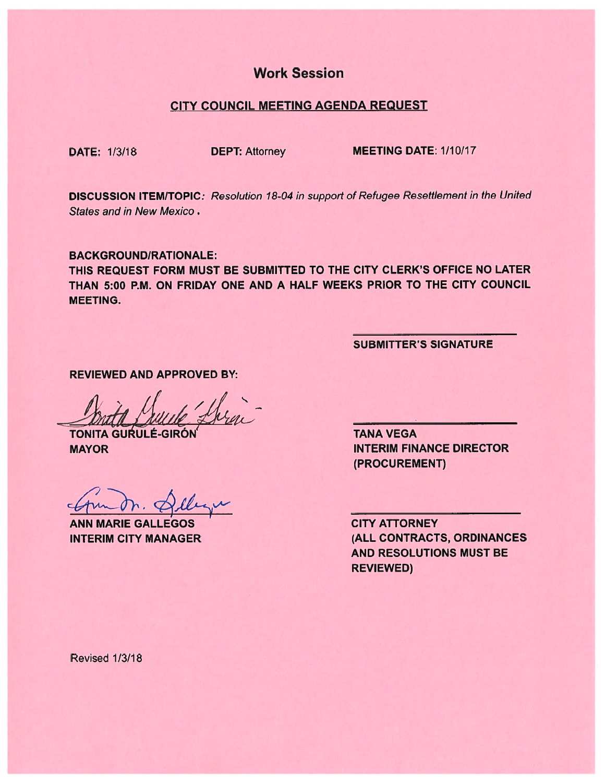# Work Session

#### CITY COUNCIL MEETING AGENDA REQUEST

DATE: 1/3/18 DEPT: Attorney MEETING DATE: 1/10/17

DISCUSSION ITEM/TOPIC: Resolution 18-04 in suppor<sup>t</sup> of Refugee Resettlement in the United States and in New Mexico.

BACKGROUND/RATIONALE:

THIS REQUEST FORM MUST BE SUBMITTED TO THE CITY CLERK'S OFFICE NO LATER THAN 5:00 P.M. ON FRIDAY ONE AND A HALF WEEKS PRIOR TO THE CITY COUNCIL MEETING.

SUBMITTER'S SIGNATURE

REVIEWED AND APPROVED BY:

TONITA GURULÉ-GIRÓN TANA VEGA

ANN MARIE GALLEGOS CITY ATTORNEY

MAYOR INTERIM FINANCE DIRECTOR (PROCUREMENT)

INTERIM CITY MANAGER (ALL CONTRACTS, ORDINANCES AND RESOLUTIONS MUST BE REVIEWED)

Revised 1/3/18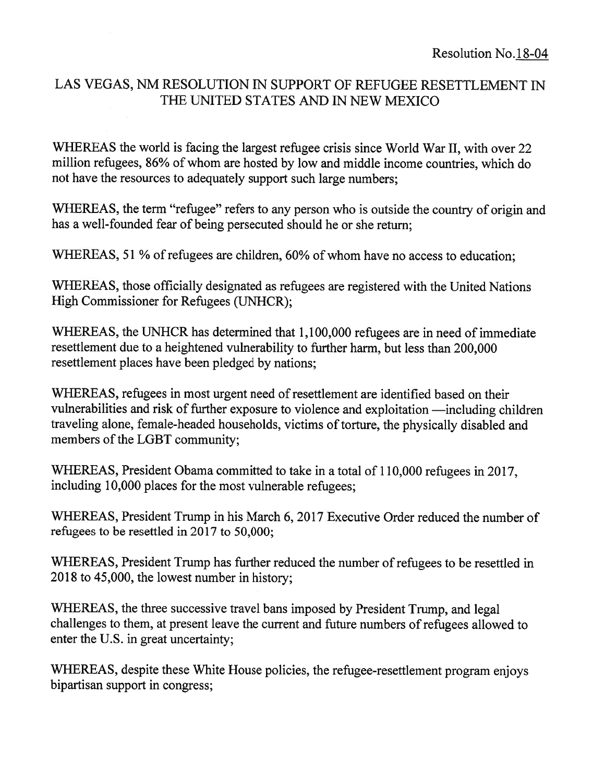# LAS VEGAS, NM RESOLUTION IN SUPPORT OF REFUGEE RESETTLEMENT IN THE UNITED STATES AND IN NEW MEXICO

WHEREAS the world is facing the largest refugee crisis since World War II, with over 22 million refugees, 86% of whom are hosted by low and middle income countries, which do not have the resources to adequately suppor<sup>t</sup> such large numbers;

WHEREAS, the term "refugee" refers to any person who is outside the country of origin and has <sup>a</sup> well-founded fear of being persecuted should he or she return;

WHEREAS, 51 % of refugees are children, 60% of whom have no access to education;

WHEREAS, those officially designated as refugees are registered with the United Nations High Commissioner for Refugees (UNHCR);

WHEREAS, the UNHCR has determined that 1,100,000 refugees are in need of immediate resettlement due to <sup>a</sup> heightened vulnerability to further harm, but less than 200,000 resettlement places have been pledged by nations;

WHEREAS, refugees in most urgen<sup>t</sup> need of resettlement are identified based on their vulnerabilities and risk of further exposure to violence and exploitation —including children traveling alone, female-headed households, victims of torture, the <sup>p</sup>hysically disabled and members of the LGBT community;

WHEREAS, President Obama committed to take in <sup>a</sup> total of 110,000 refugees in 2017, including 10,000 <sup>p</sup>laces for the most vulnerable refugees;

WHEREAS, President Trump in his March 6, 2017 Executive Order reduced the number of refugees to be resettled in 2017 to 50,000;

WHEREAS, President Trump has further reduced the number of refugees to be resettled in 2018 to 45,000, the lowest number in history;

WHEREAS, the three successive travel bans imposed by President Trump, and legal challenges to them, at presen<sup>t</sup> leave the current and future numbers of refugees allowed to enter the U.S. in grea<sup>t</sup> uncertainty;

WHEREAS, despite these White House policies, the refugee-resettlement program enjoys bipartisan suppor<sup>t</sup> in congress;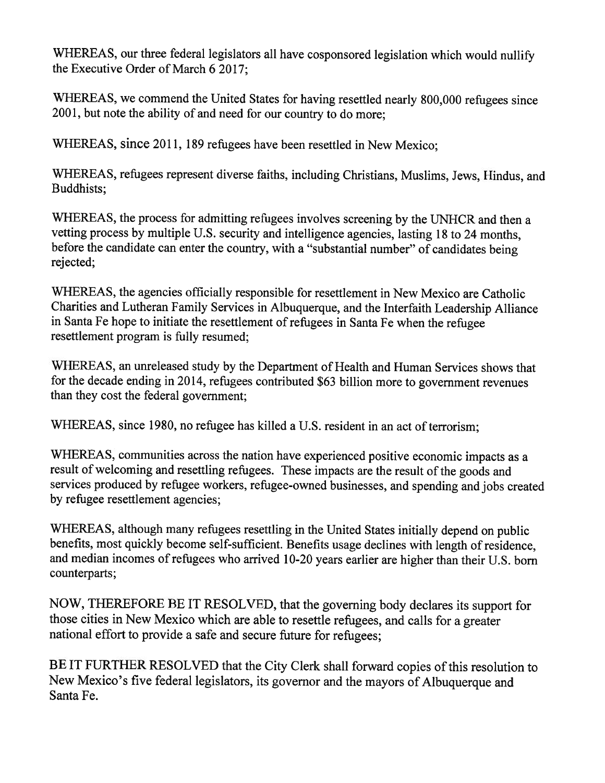WHEREAS, our three federal legislators all have cosponsored legislation which would nullify the Executive Order of March 6 2017;

WHEREAS, we commend the United States for having resettled nearly 800,000 refugees since 2001, but note the ability of and need for our country to do more;

WHEREAS, since 2011, 189 refugees have been resettled in New Mexico;

WHEREAS, refugees represent diverse faiths, including Christians, Muslims, Jews, Hindus, and Buddhists;

WHEREAS, the process for admitting refugees involves screening by the UNHCR and then <sup>a</sup> vetting process by multiple U.S. security and intelligence agencies, lasting <sup>18</sup> to <sup>24</sup> months, before the candidate can enter the country, with <sup>a</sup> "substantial number" of candidates being rejected;

WHEREAS, the agencies officially responsible for resettlement in New Mexico are Catholic Charities and Lutheran Family Services in Albuquerque, and the Interfaith Leadership Alliance in Santa Fe hope to initiate the resettlement of refugees in Santa Fe when the refugee resettlement program is fully resumed;

WHEREAS, an unreleased study by the Department of Health and Human Services shows that for the decade ending in 2014, refugees contributed \$63 billion more to government revenues than they cost the federal government;

WHEREAS, since 1980, no refugee has killed <sup>a</sup> U.S. resident in an act of terrorism;

WHEREAS, communities across the nation have experienced positive economic impacts as <sup>a</sup> result of welcoming and resettling refugees. These impacts are the result of the goods and services produced by refugee workers, refugee-owned businesses, and spending and jobs created by refugee resettlement agencies;

WHEREAS, although many refugees resettling in the United States initially depend on public benefits, most quickly become self-sufficient. Benefits usage declines with length of residence, and median incomes of refugees who arrived 10-20 years earlier are higher than their U.S. born counterparts;

NOW, THEREFORE BE IT RESOLVED, that the governing body declares its support for those cities in New Mexico which are able to resettle refugees, and calls for <sup>a</sup> greater national effort to provide <sup>a</sup> safe and secure future for refugees;

BE IT FURTHER RESOLVED that the City Clerk shall forward copies of this resolution to New Mexico's five federal legislators, its governor and the mayors of Albuquerque and Santa Fe.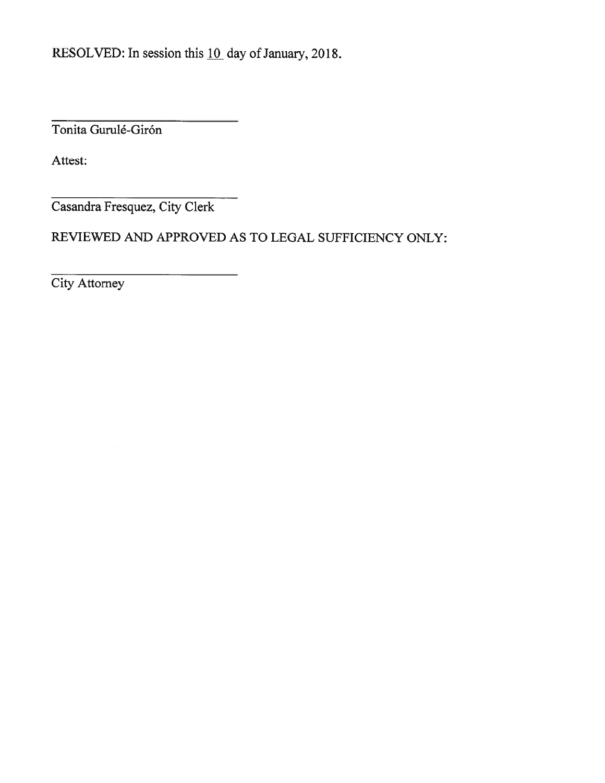Tonita Gurulé-Girón

Attest:

Casandra Fresquez, City Clerk

REVIEWED AND APPROVED AS TO LEGAL SUFFICIENCY ONLY:

City Attorney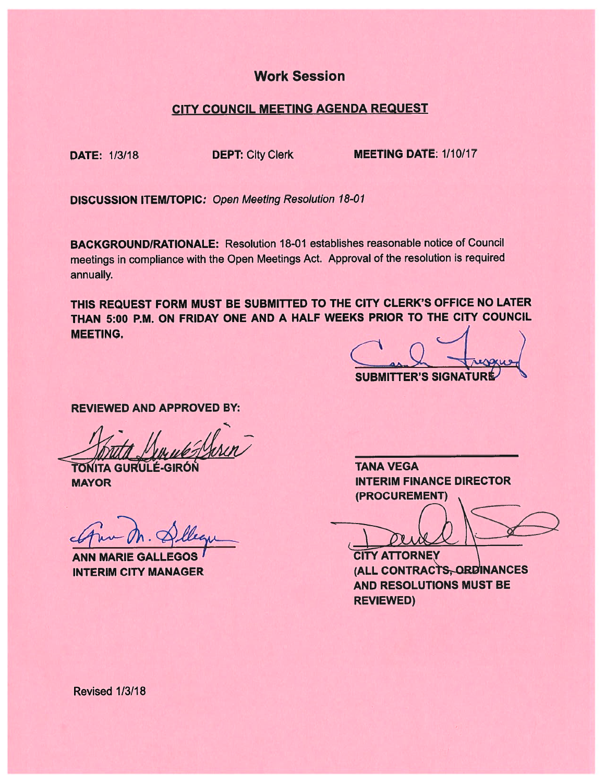# Work Session

### CITY COUNCIL MEETING AGENDA REQUEST

DATE: 1/3/18 DEPT: City Clerk MEETING DATE: 1/10/17

**DISCUSSION ITEM/TOPIC: Open Meeting Resolution 18-01** 

BACKGROUNDIRATIONALE: Resolution 18-01 establishes reasonable notice of Council meetings in compliance with the Open Meetings Act. Approval of the resolution is required annually.

THIS REQUEST FORM MUST BE SUBMITTED TO THE CITY CLERK'S OFFICE NO LATER THAN 5:00 P.M. ON FRIDAY ONE AND A HALF WEEKS PRIOR TO THE CITY COUNCIL MEETING.

 $\subset$ **SUBMITTER'S SIGNATURE** 

REVIEWED AND APPROVED BY:

TONITA GURULÉ-GIRÓN **MAYOR** 

**ANN MARIE GALLEGOS** 

TANA VEGA INTERIM FINANCE DIRECTOR (PROCUREMENT)

**CITY ATTORNEY** INTERIM CITY MANAGER (ALL CONTRACTS, ORDINANCES AND RESOLUTIONS MUST BE REVIEWED)

Revised 1/3/18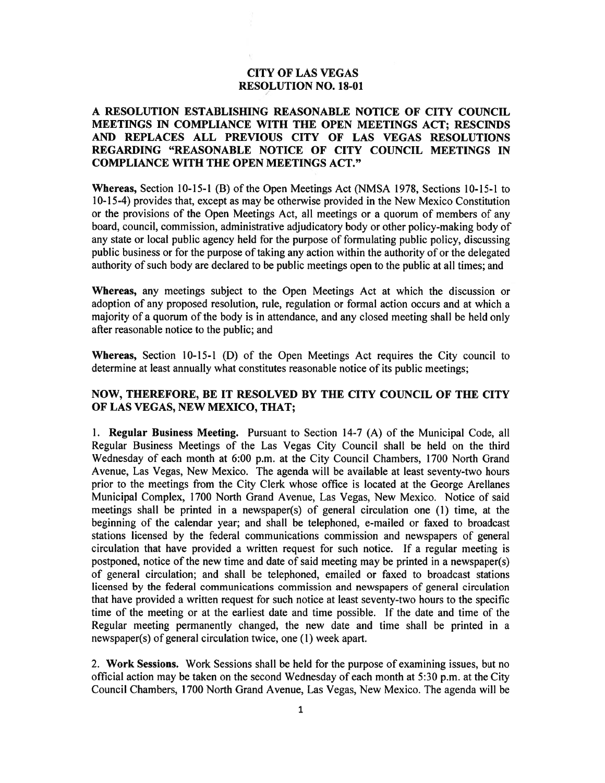#### CITY OF LAS VEGAS RESOLUTION NO. 18-01

#### A RESOLUTION ESTABLISHING REASONABLE NOTICE OF CITY COUNCIL MEETINGS IN COMPLIANCE WITH THE OPEN MEETINGS ACT; RESCINDS AND REPLACES ALL PREVIOUS CITY OF LAS VEGAS RESOLUTIONS REGARDING "REASONABLE NOTICE OF CITY COUNCIL MEETINGS IN COMPLIANCE WITH THE OPEN MEETINGS ACT."

Whereas, Section 10-15-1 (B) of the Open Meetings Act (NMSA 1978, Sections 10-15-1 to 10-15-4) provides that, excep<sup>t</sup> as may be otherwise provided in the New Mexico Constitution or the provisions of the Open Meetings Act, all meetings or <sup>a</sup> quorum of members of any board, council, commission, administrative adjudicatory body or other policy-making body of any state or local public agency held for the purpose of formulating public policy, discussing public business or for the purpose of taking any action within the authority of or the delegated authority of such body are declared to be public meetings open to the public at all times; and

Whereas, any meetings subject to the Open Meetings Act at which the discussion or adoption of any proposed resolution, rule, regulation or formal action occurs and at which <sup>a</sup> majority of <sup>a</sup> quorum of the body is in attendance, and any closed meeting shall be held only after reasonable notice to the public; and

Whereas, Section 10-15-1 (D) of the Open Meetings Act requires the City council to determine at least annually what constitutes reasonable notice of its public meetings;

#### NOW, THEREFORE, BE IT RESOLVED BY THE CITY COUNCIL OF THE CITY OF LAS VEGAS, NEW MEXICO, THAT;

1. Regular Business Meeting. Pursuant to Section 14-7 (A) of the Municipal Code, all Regular Business Meetings of the Las Vegas City Council shall be held on the third Wednesday of each month at 6:00 p.m. at the City Council Chambers, 1700 North Grand Avenue, Las Vegas, New Mexico. The agenda will be available at least seventy-two hours prior to the meetings from the City Clerk whose office is located at the George Arellanes Municipal Complex, 1700 North Grand Avenue, Las Vegas, New Mexico. Notice of said meetings shall be printed in <sup>a</sup> newspaper(s) of general circulation one (1) time, at the beginning of the calendar year; and shall be telephoned, e-mailed or faxed to broadcast stations licensed by the federal communications commission and newspapers of general circulation that have provided <sup>a</sup> written reques<sup>t</sup> for such notice. If <sup>a</sup> regular meeting is postponed, notice of the new time and date of said meeting may be printed in <sup>a</sup> newspaper(s) of general circulation; and shall be telephoned, emailed or faxed to broadcast stations licensed by the federal communications commission and newspapers of general circulation that have provided <sup>a</sup> written reques<sup>t</sup> for such notice at least seventy-two hours to the specific time of the meeting or at the earliest date and time possible. If the date and time of the Regular meeting permanently changed, the new date and time shall be printed in <sup>a</sup> newspaper(s) of general circulation twice, one (1) week apart.

2. Work Sessions. Work Sessions shall be held for the purpose of examining issues, but no official action may be taken on the second Wednesday of each month at 5:30 p.m. at the City Council Chambers, 1700 North Grand Avenue, Las Vegas, New Mexico. The agenda will be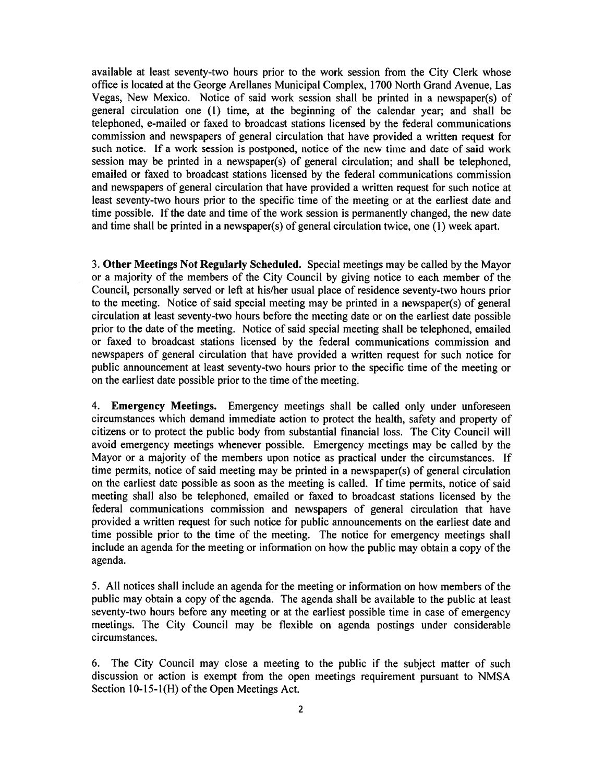available at least seventy-two hours prior to the work session from the City Clerk whose office is located at the George Arellanes Municipal Complex, 1700 North Grand Avenue, Las Vegas, New Mexico. Notice of said work session shall be printed in <sup>a</sup> newspaper(s) of general circulation one (1) time, at the beginning of the calendar year; and shall be telephoned, e-mailed or faxed to broadcast stations licensed by the federal communications commission and newspapers of general circulation that have provided <sup>a</sup> written reques<sup>t</sup> for such notice. If <sup>a</sup> work session is postponed, notice of the new time and date of said work session may be printed in <sup>a</sup> newspaper(s) of general circulation; and shall be telephoned, emailed or faxed to broadcast stations licensed by the federal communications commission and newspapers of general circulation that have provided <sup>a</sup> written reques<sup>t</sup> for such notice at least seventy-two hours prior to the specific time of the meeting or at the earliest date and time possible. If the date and time of the work session is permanently changed, the new date and time shall be printed in <sup>a</sup> newspaper(s) of general circulation twice, one (1) week apart.

3. Other Meetings Not Regularly Scheduled. Special meetings may be called by the Mayor or <sup>a</sup> majority of the members of the City Council by giving notice to each member of the Council, personally served or left at his/her usual place of residence seventy-two hours prior to the meeting. Notice of said special meeting may be printed in <sup>a</sup> newspaper(s) of general circulation at least seventy-two hours before the meeting date or on the earliest date possible prior to the date of the meeting. Notice of said special meeting shall be telephoned, emailed or faxed to broadcast stations licensed by the federal communications commission and newspapers of general circulation that have provided <sup>a</sup> written reques<sup>t</sup> for such notice for public announcement at least seventy-two hours prior to the specific time of the meeting or on the earliest date possible prior to the time of the meeting.

4. Emergency Meetings. Emergency meetings shall be called only under unforeseen circumstances which demand immediate action to protect the health, safety and property of citizens or to protect the public body from substantial financial loss. The City Council will avoid emergency meetings whenever possible. Emergency meetings may be called by the Mayor or <sup>a</sup> majority of the members upon notice as practical under the circumstances. If time permits, notice of said meeting may be printed in <sup>a</sup> newspaper(s) of general circulation on the earliest date possible as soon as the meeting is called. If time permits, notice of said meeting shall also be telephoned, emailed or faxed to broadcast stations licensed by the federal communications commission and newspapers of general circulation that have provided <sup>a</sup> written reques<sup>t</sup> for such notice for public announcements on the earliest date and time possible prior to the time of the meeting. The notice for emergency meetings shall include an agenda for the meeting or information on how the public may obtain <sup>a</sup> copy of the agenda.

5. All notices shall include an agenda for the meeting or information on how members of the public may obtain <sup>a</sup> copy of the agenda. The agenda shall be available to the public at least seventy-two hours before any meeting or at the earliest possible time in case of emergency meetings. The City Council may be flexible on agenda postings under considerable circumstances.

6. The City Council may close <sup>a</sup> meeting to the public if the subject matter of such discussion or action is exemp<sup>t</sup> from the open meetings requirement pursuan<sup>t</sup> to NMSA Section 10-15-1(H) of the Open Meetings Act.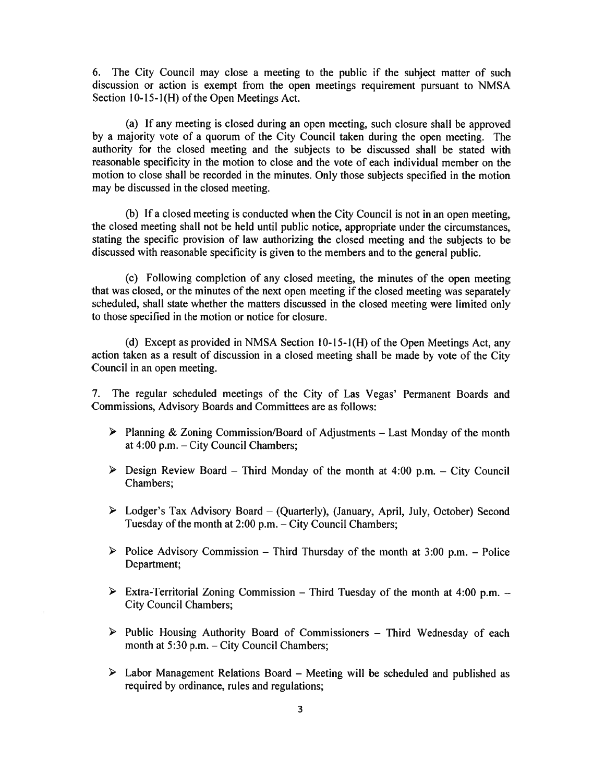6. The City Council may close <sup>a</sup> meeting to the public if the subject matter of such discussion or action is exemp<sup>t</sup> from the open meetings requirement pursuan<sup>t</sup> to NMSA Section  $10-15-1(H)$  of the Open Meetings Act.

(a) If any meeting is closed during an open meeting, such closure shall be approved by <sup>a</sup> majority vote of <sup>a</sup> quorum of the City Council taken during the open meeting. The authority for the closed meeting and the subjects to be discussed shall be stated with reasonable specificity in the motion to close and the vote of each individual member on the motion to close shall be recorded in the minutes. Only those subjects specified in the motion may be discussed in the closed meeting.

(b) If <sup>a</sup> closed meeting is conducted when the City Council is not in an open meeting, the closed meeting shall not be held until public notice, appropriate under the circumstances, stating the specific provision of law authorizing the closed meeting and the subjects to be discussed with reasonable specificity is given to the members and to the general public.

(c) Following completion of any closed meeting, the minutes of the open meeting that was closed, or the minutes of the next open meeting if the closed meeting was separately scheduled, shall state whether the matters discussed in the closed meeting were limited only to those specified in the motion or notice for closure.

(d) Except as provided in NMSA Section 10-15-1(H) of the Open Meetings Act, any action taken as <sup>a</sup> result of discussion in <sup>a</sup> closed meeting shall be made by vote of the City Council in an open meeting.

7. The regular scheduled meetings of the City of Las Vegas' Permanent Boards and Commissions, Advisory Boards and Committees are as follows:

- $\triangleright$  Planning & Zoning Commission/Board of Adjustments Last Monday of the month at 4:00 p.m. — City Council Chambers;
- $\triangleright$  Design Review Board Third Monday of the month at 4:00 p.m. City Council Chambers;
- <sup>&</sup>gt; Lodger's Tax Advisory Board (Quarterly), (January, April, July, October) Second Tuesday of the month at 2:00 p.m. — City Council Chambers;
- $\triangleright$  Police Advisory Commission Third Thursday of the month at 3:00 p.m. Police Department;
- $\triangleright$  Extra-Territorial Zoning Commission Third Tuesday of the month at 4:00 p.m. City Council Chambers;
- $\triangleright$  Public Housing Authority Board of Commissioners Third Wednesday of each month at 5:30 p.m. — City Council Chambers;
- Labor Management Relations Board Meeting will be scheduled and published as required by ordinance, rules and regulations;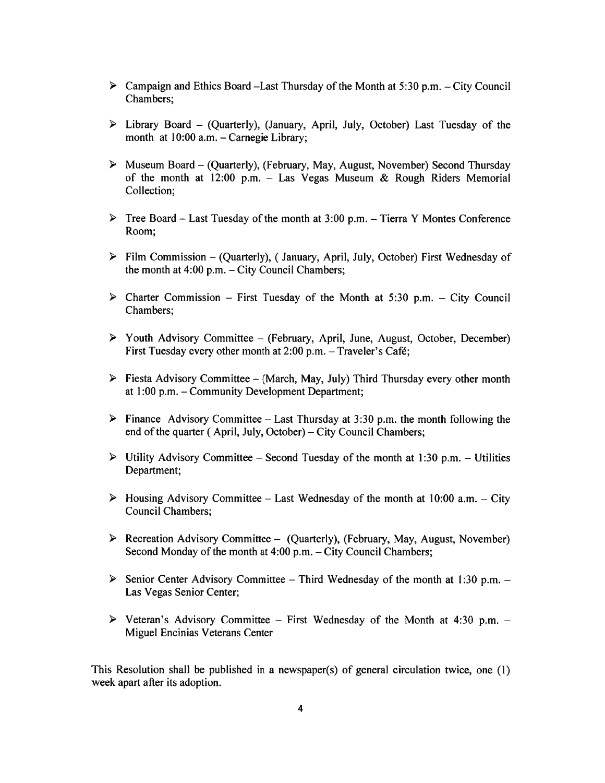- $\triangleright$  Campaign and Ethics Board –Last Thursday of the Month at 5:30 p.m. City Council Chambers;
- $\triangleright$  Library Board (Quarterly), (January, April, July, October) Last Tuesday of the month at 10:00 a.m. — Carnegie Library;
- <sup>&</sup>gt; Museum Board (Quarterly), (February, May, August, November) Second Thursday of the month at 12:00 p.m. - Las Vegas Museum & Rough Riders Memorial Collection;
- $\triangleright$  Tree Board Last Tuesday of the month at 3:00 p.m. Tierra Y Montes Conference Room;
- $\triangleright$  Film Commission (Quarterly), (January, April, July, October) First Wednesday of the month at 4:00 p.m. — City Council Chambers;
- $\triangleright$  Charter Commission First Tuesday of the Month at 5:30 p.m. City Council Chambers;
- $\triangleright$  Youth Advisory Committee (February, April, June, August, October, December) First Tuesday every other month at 2:00 p.m. — Traveler's Café;
- $\triangleright$  Fiesta Advisory Committee (March, May, July) Third Thursday every other month at 1:00 p.m. — Community Development Department;
- $\triangleright$  Finance Advisory Committee Last Thursday at 3:30 p.m. the month following the end of the quarter (April, July, October) – City Council Chambers;
- $\triangleright$  Utility Advisory Committee Second Tuesday of the month at 1:30 p.m. Utilities Department;
- $\triangleright$  Housing Advisory Committee Last Wednesday of the month at 10:00 a.m. City Council Chambers;
- $\triangleright$  Recreation Advisory Committee (Quarterly), (February, May, August, November) Second Monday of the month at 4:00 p.m. — City Council Chambers;
- $\triangleright$  Senior Center Advisory Committee Third Wednesday of the month at 1:30 p.m. Las Vegas Senior Center;
- $\triangleright$  Veteran's Advisory Committee First Wednesday of the Month at 4:30 p.m. Miguel Encinias Veterans Center

This Resolution shall be published in a newspaper(s) of general circulation twice, one  $(1)$ week apar<sup>t</sup> after its adoption.